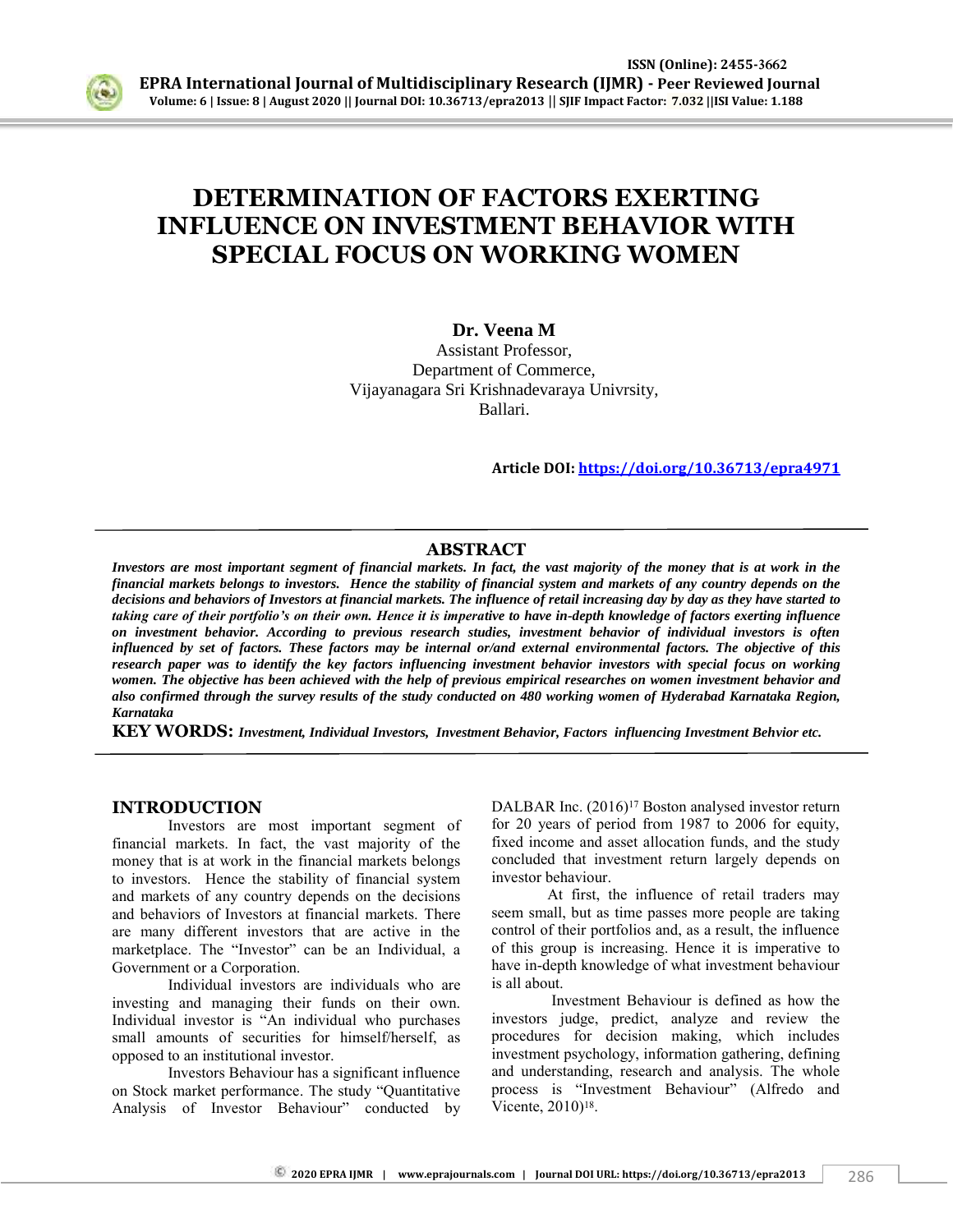

# **DETERMINATION OF FACTORS EXERTING INFLUENCE ON INVESTMENT BEHAVIOR WITH SPECIAL FOCUS ON WORKING WOMEN**

## **Dr. Veena M**

Assistant Professor, Department of Commerce, Vijayanagara Sri Krishnadevaraya Univrsity, Ballari.

**Article DOI:<https://doi.org/10.36713/epra4971>**

#### **ABSTRACT**

*Investors are most important segment of financial markets. In fact, the vast majority of the money that is at work in the financial markets belongs to investors. Hence the stability of financial system and markets of any country depends on the decisions and behaviors of Investors at financial markets. The influence of retail increasing day by day as they have started to taking care of their portfolio's on their own. Hence it is imperative to have in-depth knowledge of factors exerting influence on investment behavior. According to previous research studies, investment behavior of individual investors is often influenced by set of factors. These factors may be internal or/and external environmental factors. The objective of this research paper was to identify the key factors influencing investment behavior investors with special focus on working women. The objective has been achieved with the help of previous empirical researches on women investment behavior and also confirmed through the survey results of the study conducted on 480 working women of Hyderabad Karnataka Region, Karnataka* 

**KEY WORDS:** *Investment, Individual Investors, Investment Behavior, Factors influencing Investment Behvior etc.* 

#### **INTRODUCTION**

Investors are most important segment of financial markets. In fact, the vast majority of the money that is at work in the financial markets belongs to investors. Hence the stability of financial system and markets of any country depends on the decisions and behaviors of Investors at financial markets. There are many different investors that are active in the marketplace. The "Investor" can be an Individual, a Government or a Corporation.

Individual investors are individuals who are investing and managing their funds on their own. Individual investor is "An individual who purchases small amounts of securities for himself/herself, as opposed to an institutional investor.

Investors Behaviour has a significant influence on Stock market performance. The study "Quantitative Analysis of Investor Behaviour" conducted by DALBAR Inc. (2016)<sup>17</sup> Boston analysed investor return for 20 years of period from 1987 to 2006 for equity, fixed income and asset allocation funds, and the study concluded that investment return largely depends on investor behaviour.

At first, the influence of retail traders may seem small, but as time passes more people are taking control of their portfolios and, as a result, the influence of this group is increasing. Hence it is imperative to have in-depth knowledge of what investment behaviour is all about.

Investment Behaviour is defined as how the investors judge, predict, analyze and review the procedures for decision making, which includes investment psychology, information gathering, defining and understanding, research and analysis. The whole process is "Investment Behaviour" (Alfredo and Vicente, 2010)<sup>18</sup>.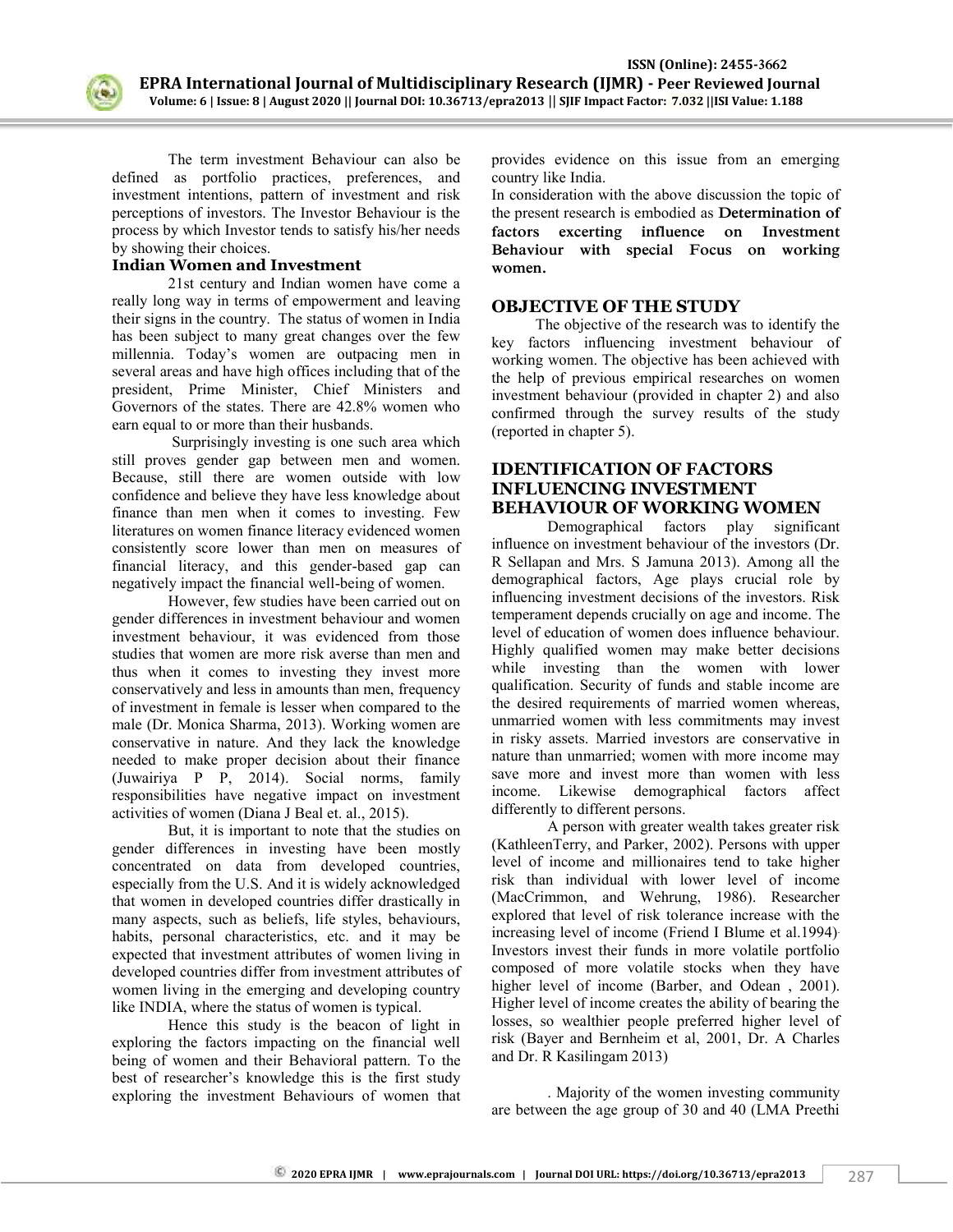

The term investment Behaviour can also be defined as portfolio practices, preferences, and investment intentions, pattern of investment and risk perceptions of investors. The Investor Behaviour is the process by which Investor tends to satisfy his/her needs by showing their choices.

## **Indian Women and Investment**

21st century and Indian women have come a really long way in terms of empowerment and leaving their signs in the country. The status of women in India has been subject to many great changes over the few millennia. Today's women are outpacing men in several areas and have high offices including that of the president, Prime Minister, Chief Ministers and Governors of the states. There are 42.8% women who earn equal to or more than their husbands.

Surprisingly investing is one such area which still proves gender gap between men and women. Because, still there are women outside with low confidence and believe they have less knowledge about finance than men when it comes to investing. Few literatures on women finance literacy evidenced women consistently score lower than men on measures of financial literacy, and this gender-based gap can negatively impact the financial well-being of women.

However, few studies have been carried out on gender differences in investment behaviour and women investment behaviour, it was evidenced from those studies that women are more risk averse than men and thus when it comes to investing they invest more conservatively and less in amounts than men, frequency of investment in female is lesser when compared to the male (Dr. Monica Sharma, 2013). Working women are conservative in nature. And they lack the knowledge needed to make proper decision about their finance (Juwairiya P P, 2014). Social norms, family responsibilities have negative impact on investment activities of women (Diana J Beal et. al., 2015).

But, it is important to note that the studies on gender differences in investing have been mostly concentrated on data from developed countries, especially from the U.S. And it is widely acknowledged that women in developed countries differ drastically in many aspects, such as beliefs, life styles, behaviours, habits, personal characteristics, etc. and it may be expected that investment attributes of women living in developed countries differ from investment attributes of women living in the emerging and developing country like INDIA, where the status of women is typical.

Hence this study is the beacon of light in exploring the factors impacting on the financial well being of women and their Behavioral pattern. To the best of researcher's knowledge this is the first study exploring the investment Behaviours of women that provides evidence on this issue from an emerging country like India.

In consideration with the above discussion the topic of the present research is embodied as **Determination of factors excerting influence on Investment Behaviour with special Focus on working women.** 

## **OBJECTIVE OF THE STUDY**

The objective of the research was to identify the key factors influencing investment behaviour of working women. The objective has been achieved with the help of previous empirical researches on women investment behaviour (provided in chapter 2) and also confirmed through the survey results of the study (reported in chapter 5).

# **IDENTIFICATION OF FACTORS INFLUENCING INVESTMENT BEHAVIOUR OF WORKING WOMEN**

Demographical factors play significant influence on investment behaviour of the investors (Dr. R Sellapan and Mrs. S Jamuna 2013). Among all the demographical factors, Age plays crucial role by influencing investment decisions of the investors. Risk temperament depends crucially on age and income. The level of education of women does influence behaviour. Highly qualified women may make better decisions while investing than the women with lower qualification. Security of funds and stable income are the desired requirements of married women whereas, unmarried women with less commitments may invest in risky assets. Married investors are conservative in nature than unmarried; women with more income may save more and invest more than women with less income. Likewise demographical factors affect differently to different persons.

A person with greater wealth takes greater risk (KathleenTerry, and Parker, 2002). Persons with upper level of income and millionaires tend to take higher risk than individual with lower level of income (MacCrimmon, and Wehrung, 1986). Researcher explored that level of risk tolerance increase with the increasing level of income (Friend I Blume et al.1994). Investors invest their funds in more volatile portfolio composed of more volatile stocks when they have higher level of income (Barber, and Odean, 2001). Higher level of income creates the ability of bearing the losses, so wealthier people preferred higher level of risk (Bayer and Bernheim et al, 2001, Dr. A Charles and Dr. R Kasilingam 2013)

. Majority of the women investing community are between the age group of 30 and 40 (LMA Preethi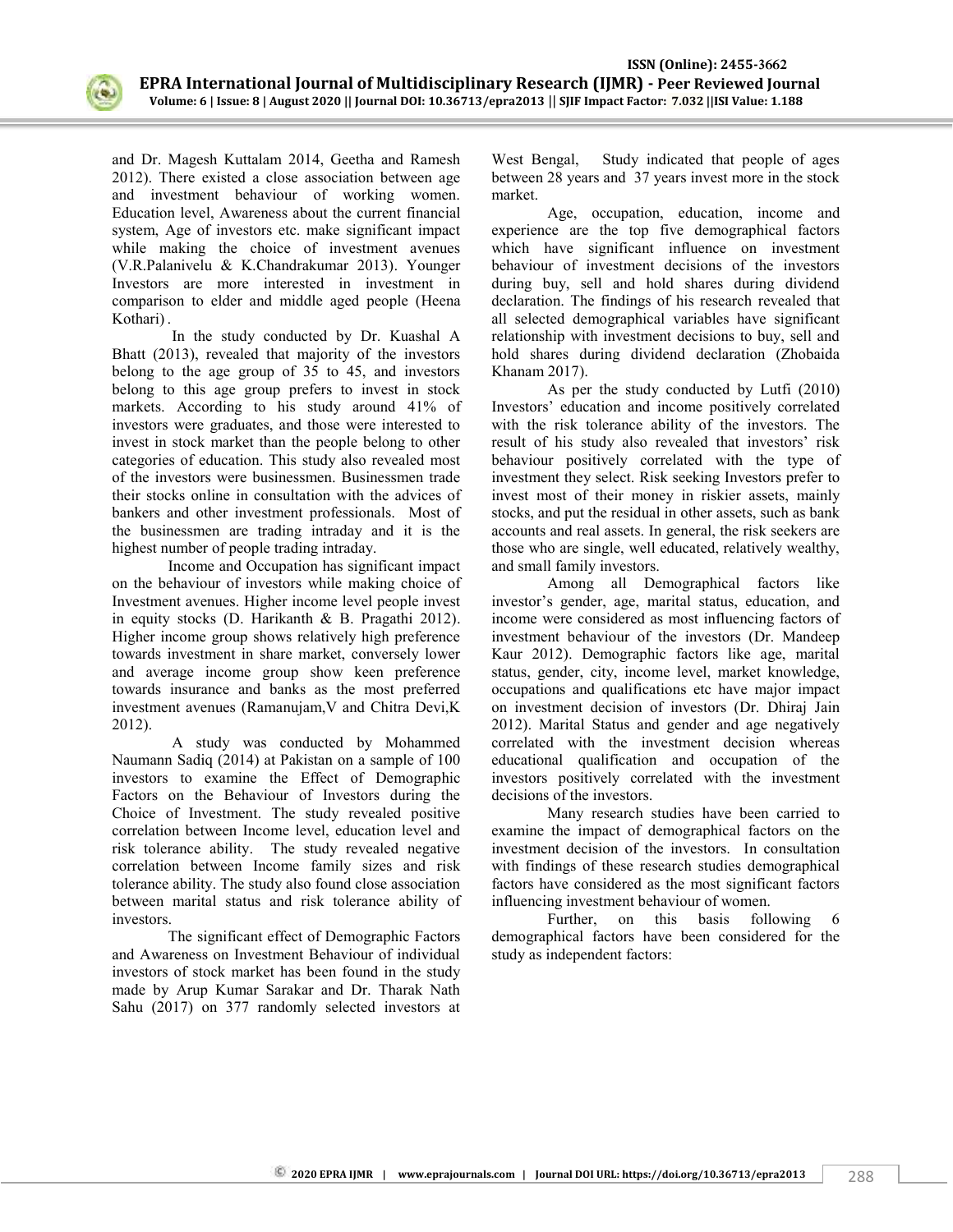

and Dr. Magesh Kuttalam 2014, Geetha and Ramesh 2012). There existed a close association between age and investment behaviour of working women. Education level, Awareness about the current financial system, Age of investors etc. make significant impact while making the choice of investment avenues (V.R.Palanivelu & K.Chandrakumar 2013). Younger Investors are more interested in investment in comparison to elder and middle aged people (Heena Kothari) .

In the study conducted by Dr. Kuashal A Bhatt (2013), revealed that majority of the investors belong to the age group of 35 to 45, and investors belong to this age group prefers to invest in stock markets. According to his study around 41% of investors were graduates, and those were interested to invest in stock market than the people belong to other categories of education. This study also revealed most of the investors were businessmen. Businessmen trade their stocks online in consultation with the advices of bankers and other investment professionals. Most of the businessmen are trading intraday and it is the highest number of people trading intraday.

Income and Occupation has significant impact on the behaviour of investors while making choice of Investment avenues. Higher income level people invest in equity stocks (D. Harikanth & B. Pragathi 2012). Higher income group shows relatively high preference towards investment in share market, conversely lower and average income group show keen preference towards insurance and banks as the most preferred investment avenues (Ramanujam,V and Chitra Devi,K 2012).

A study was conducted by Mohammed Naumann Sadiq (2014) at Pakistan on a sample of 100 investors to examine the Effect of Demographic Factors on the Behaviour of Investors during the Choice of Investment. The study revealed positive correlation between Income level, education level and risk tolerance ability. The study revealed negative correlation between Income family sizes and risk tolerance ability. The study also found close association between marital status and risk tolerance ability of investors.

The significant effect of Demographic Factors and Awareness on Investment Behaviour of individual investors of stock market has been found in the study made by Arup Kumar Sarakar and Dr. Tharak Nath Sahu (2017) on 377 randomly selected investors at West Bengal, Study indicated that people of ages between 28 years and 37 years invest more in the stock market.

Age, occupation, education, income and experience are the top five demographical factors which have significant influence on investment behaviour of investment decisions of the investors during buy, sell and hold shares during dividend declaration. The findings of his research revealed that all selected demographical variables have significant relationship with investment decisions to buy, sell and hold shares during dividend declaration (Zhobaida Khanam 2017).

As per the study conducted by Lutfi (2010) Investors' education and income positively correlated with the risk tolerance ability of the investors. The result of his study also revealed that investors' risk behaviour positively correlated with the type of investment they select. Risk seeking Investors prefer to invest most of their money in riskier assets, mainly stocks, and put the residual in other assets, such as bank accounts and real assets. In general, the risk seekers are those who are single, well educated, relatively wealthy, and small family investors.

Among all Demographical factors like investor's gender, age, marital status, education, and income were considered as most influencing factors of investment behaviour of the investors (Dr. Mandeep Kaur 2012). Demographic factors like age, marital status, gender, city, income level, market knowledge, occupations and qualifications etc have major impact on investment decision of investors (Dr. Dhiraj Jain 2012). Marital Status and gender and age negatively correlated with the investment decision whereas educational qualification and occupation of the investors positively correlated with the investment decisions of the investors.

Many research studies have been carried to examine the impact of demographical factors on the investment decision of the investors. In consultation with findings of these research studies demographical factors have considered as the most significant factors influencing investment behaviour of women.

Further, on this basis following 6 demographical factors have been considered for the study as independent factors: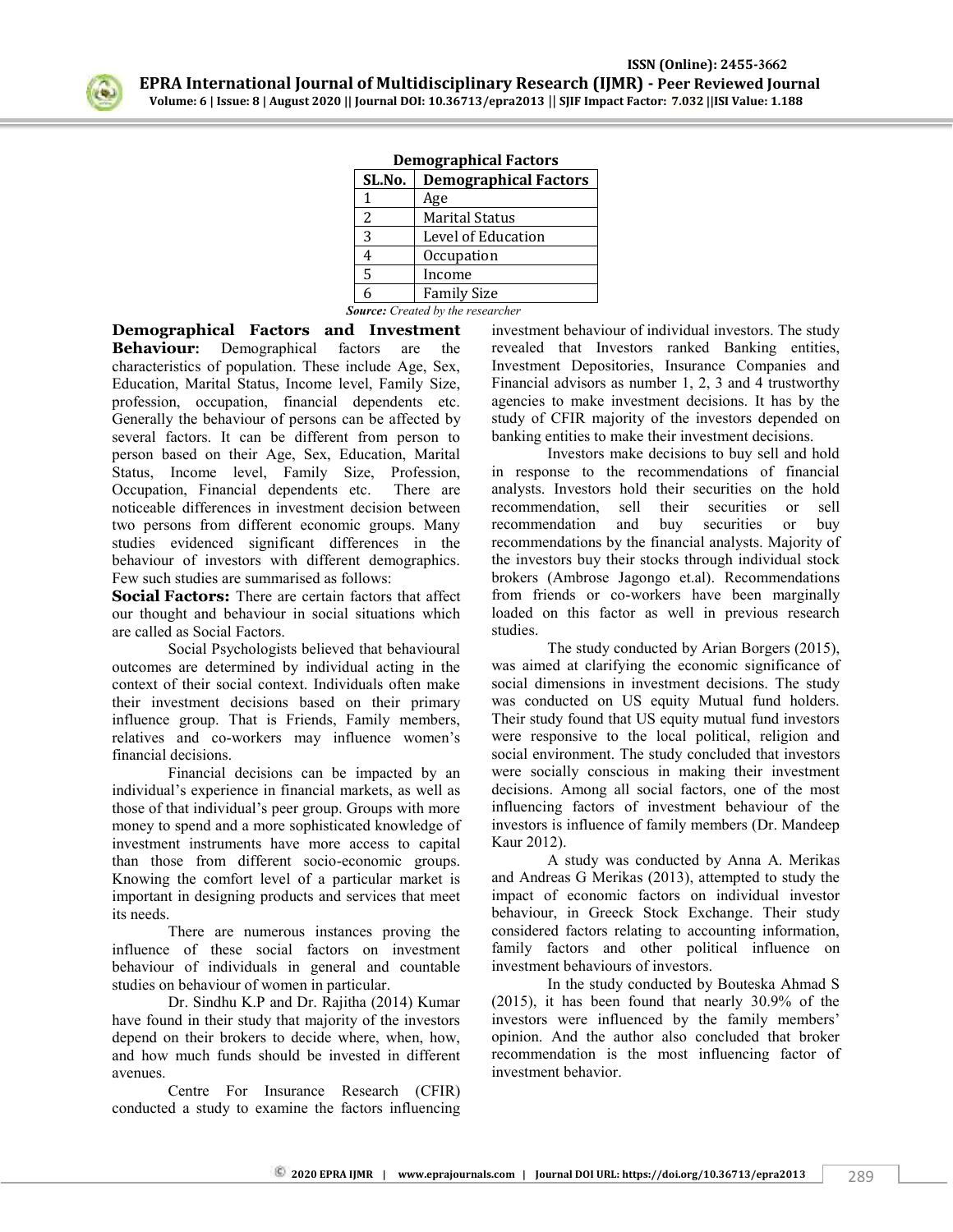

| SL.No. | <b>Demographical Factors</b> |
|--------|------------------------------|
|        | Age                          |
| 2      | <b>Marital Status</b>        |
| 3      | Level of Education           |
|        | Occupation                   |
| 5      | Income                       |
|        | <b>Family Size</b>           |

|  | <b>Demographical Factors</b> |  |  |
|--|------------------------------|--|--|
|  |                              |  |  |

*Source: Created by the researcher*

**Demographical Factors and Investment Behaviour:** Demographical factors are the characteristics of population. These include Age, Sex, Education, Marital Status, Income level, Family Size, profession, occupation, financial dependents etc. Generally the behaviour of persons can be affected by several factors. It can be different from person to person based on their Age, Sex, Education, Marital Status, Income level, Family Size, Profession, Occupation, Financial dependents etc. There are noticeable differences in investment decision between two persons from different economic groups. Many studies evidenced significant differences in the behaviour of investors with different demographics. Few such studies are summarised as follows:

**Social Factors:** There are certain factors that affect our thought and behaviour in social situations which are called as Social Factors.

Social Psychologists believed that behavioural outcomes are determined by individual acting in the context of their social context. Individuals often make their investment decisions based on their primary influence group. That is Friends, Family members, relatives and co-workers may influence women's financial decisions.

Financial decisions can be impacted by an individual's experience in financial markets, as well as those of that individual's peer group. Groups with more money to spend and a more sophisticated knowledge of investment instruments have more access to capital than those from different socio-economic groups. Knowing the comfort level of a particular market is important in designing products and services that meet its needs.

There are numerous instances proving the influence of these social factors on investment behaviour of individuals in general and countable studies on behaviour of women in particular.

Dr. Sindhu K.P and Dr. Rajitha (2014) Kumar have found in their study that majority of the investors depend on their brokers to decide where, when, how, and how much funds should be invested in different avenues.

Centre For Insurance Research (CFIR) conducted a study to examine the factors influencing

investment behaviour of individual investors. The study revealed that Investors ranked Banking entities, Investment Depositories, Insurance Companies and Financial advisors as number 1, 2, 3 and 4 trustworthy agencies to make investment decisions. It has by the study of CFIR majority of the investors depended on banking entities to make their investment decisions.

Investors make decisions to buy sell and hold in response to the recommendations of financial analysts. Investors hold their securities on the hold recommendation, sell their securities or sell recommendation and buy securities or buy recommendations by the financial analysts. Majority of the investors buy their stocks through individual stock brokers (Ambrose Jagongo et.al). Recommendations from friends or co-workers have been marginally loaded on this factor as well in previous research studies.

The study conducted by Arian Borgers (2015), was aimed at clarifying the economic significance of social dimensions in investment decisions. The study was conducted on US equity Mutual fund holders. Their study found that US equity mutual fund investors were responsive to the local political, religion and social environment. The study concluded that investors were socially conscious in making their investment decisions. Among all social factors, one of the most influencing factors of investment behaviour of the investors is influence of family members (Dr. Mandeep Kaur 2012).

A study was conducted by Anna A. Merikas and Andreas G Merikas (2013), attempted to study the impact of economic factors on individual investor behaviour, in Greeck Stock Exchange. Their study considered factors relating to accounting information, family factors and other political influence on investment behaviours of investors.

In the study conducted by Bouteska Ahmad S (2015), it has been found that nearly 30.9% of the investors were influenced by the family members' opinion. And the author also concluded that broker recommendation is the most influencing factor of investment behavior.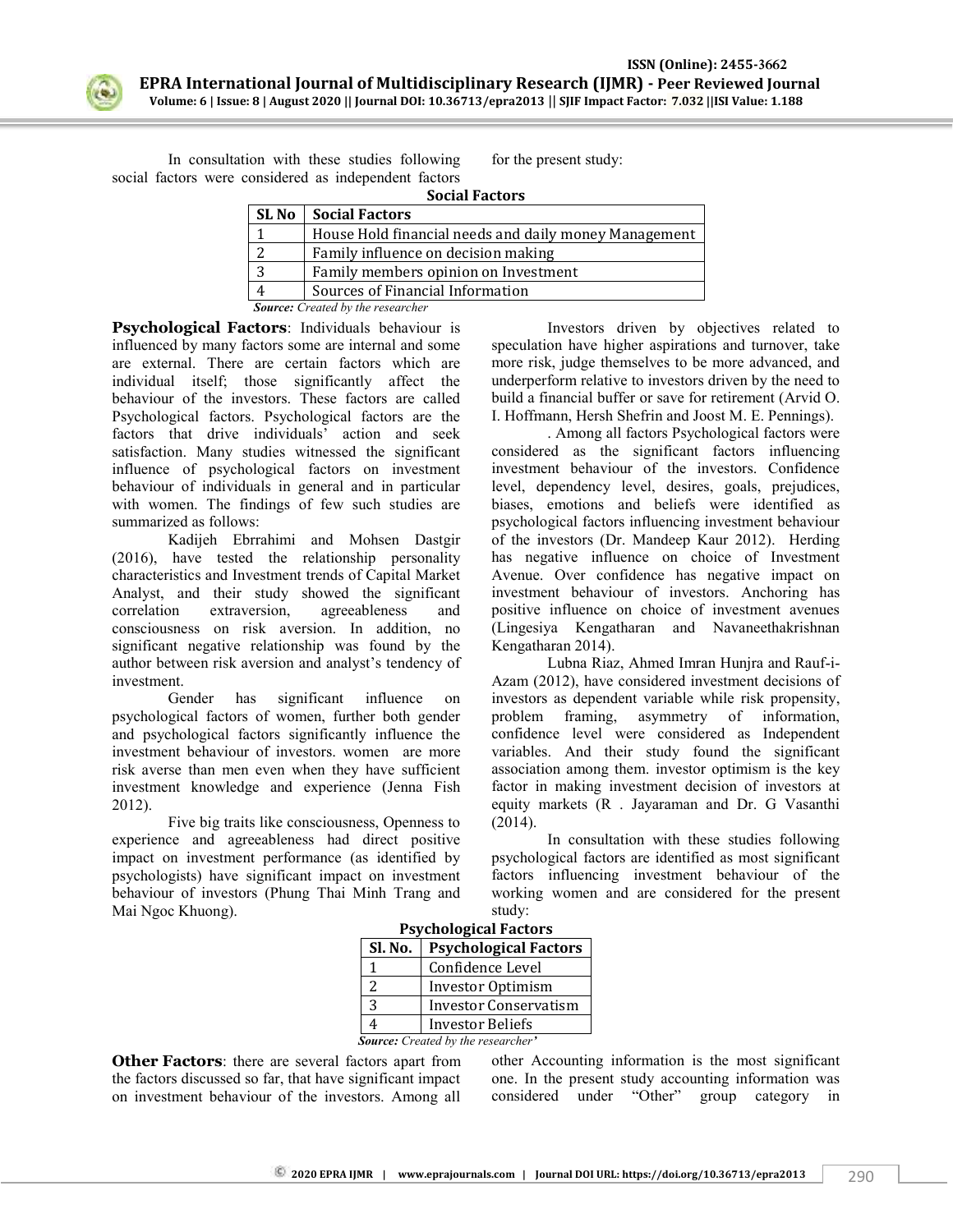

 **ISSN (Online): 2455-3662 EPRA International Journal of Multidisciplinary Research (IJMR) - Peer Reviewed Journal Volume: 6 | Issue: 8 | August 2020 || Journal DOI: 10.36713/epra2013** || **SJIF Impact Factor: 7.032 ||ISI Value: 1.188**

In consultation with these studies following social factors were considered as independent factors

for the present study:

| <b>Social Factors</b> |                                                       |  |
|-----------------------|-------------------------------------------------------|--|
| <b>SL No</b>          | <b>Social Factors</b>                                 |  |
|                       | House Hold financial needs and daily money Management |  |
| 2                     | Family influence on decision making                   |  |
| 3                     | Family members opinion on Investment                  |  |
|                       | Sources of Financial Information                      |  |
|                       | <b>Source:</b> Created by the researcher              |  |

**Psychological Factors**: Individuals behaviour is influenced by many factors some are internal and some are external. There are certain factors which are individual itself; those significantly affect the behaviour of the investors. These factors are called Psychological factors. Psychological factors are the factors that drive individuals' action and seek satisfaction. Many studies witnessed the significant influence of psychological factors on investment behaviour of individuals in general and in particular with women. The findings of few such studies are summarized as follows:

Kadijeh Ebrrahimi and Mohsen Dastgir (2016), have tested the relationship personality characteristics and Investment trends of Capital Market Analyst, and their study showed the significant correlation extraversion, agreeableness and consciousness on risk aversion. In addition, no significant negative relationship was found by the author between risk aversion and analyst's tendency of investment.

Gender has significant influence on psychological factors of women, further both gender and psychological factors significantly influence the investment behaviour of investors. women are more risk averse than men even when they have sufficient investment knowledge and experience (Jenna Fish 2012).

Five big traits like consciousness, Openness to experience and agreeableness had direct positive impact on investment performance (as identified by psychologists) have significant impact on investment behaviour of investors (Phung Thai Minh Trang and Mai Ngoc Khuong).

Investors driven by objectives related to speculation have higher aspirations and turnover, take more risk, judge themselves to be more advanced, and underperform relative to investors driven by the need to build a financial buffer or save for retirement (Arvid O. I. Hoffmann, Hersh Shefrin and Joost M. E. Pennings).

. Among all factors Psychological factors were considered as the significant factors influencing investment behaviour of the investors. Confidence level, dependency level, desires, goals, prejudices, biases, emotions and beliefs were identified as psychological factors influencing investment behaviour of the investors (Dr. Mandeep Kaur 2012). Herding has negative influence on choice of Investment Avenue. Over confidence has negative impact on investment behaviour of investors. Anchoring has positive influence on choice of investment avenues (Lingesiya Kengatharan and Navaneethakrishnan Kengatharan 2014).

Lubna Riaz, Ahmed Imran Hunjra and Rauf-i-Azam (2012), have considered investment decisions of investors as dependent variable while risk propensity, problem framing, asymmetry of information, confidence level were considered as Independent variables. And their study found the significant association among them. investor optimism is the key factor in making investment decision of investors at equity markets (R . Jayaraman and Dr. G Vasanthi (2014).

In consultation with these studies following psychological factors are identified as most significant factors influencing investment behaviour of the working women and are considered for the present study:

| 1 sychological i actors                   |                              |  |  |
|-------------------------------------------|------------------------------|--|--|
| Sl. No.                                   | <b>Psychological Factors</b> |  |  |
|                                           | Confidence Level             |  |  |
| 2                                         | Investor Optimism            |  |  |
| 3                                         | <b>Investor Conservatism</b> |  |  |
|                                           | <b>Investor Beliefs</b>      |  |  |
| <b>Source:</b> Created by the researcher' |                              |  |  |

**Psychological Factors**

**Other Factors**: there are several factors apart from the factors discussed so far, that have significant impact on investment behaviour of the investors. Among all other Accounting information is the most significant one. In the present study accounting information was considered under "Other" group category in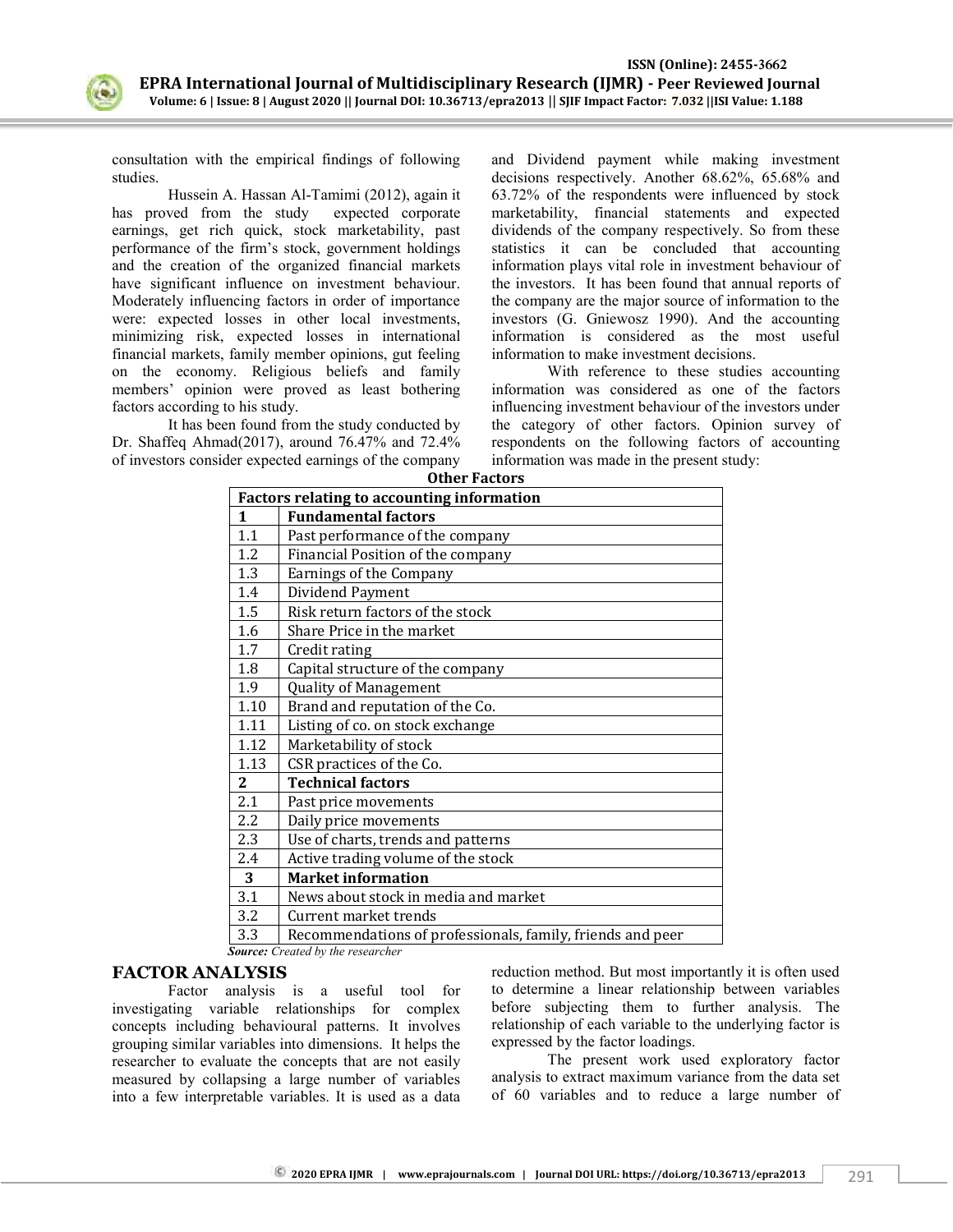

consultation with the empirical findings of following studies.

Hussein A. Hassan Al-Tamimi (2012), again it has proved from the study expected corporate earnings, get rich quick, stock marketability, past performance of the firm's stock, government holdings and the creation of the organized financial markets have significant influence on investment behaviour. Moderately influencing factors in order of importance were: expected losses in other local investments, minimizing risk, expected losses in international financial markets, family member opinions, gut feeling on the economy. Religious beliefs and family members' opinion were proved as least bothering factors according to his study.

It has been found from the study conducted by Dr. Shaffeq Ahmad(2017), around 76.47% and 72.4% of investors consider expected earnings of the company and Dividend payment while making investment decisions respectively. Another 68.62%, 65.68% and 63.72% of the respondents were influenced by stock marketability, financial statements and expected dividends of the company respectively. So from these statistics it can be concluded that accounting information plays vital role in investment behaviour of the investors. It has been found that annual reports of the company are the major source of information to the investors (G. Gniewosz 1990). And the accounting information is considered as the most useful information to make investment decisions.

With reference to these studies accounting information was considered as one of the factors influencing investment behaviour of the investors under the category of other factors. Opinion survey of respondents on the following factors of accounting information was made in the present study:

| <b>Other Factors</b>                              |                                                            |  |  |
|---------------------------------------------------|------------------------------------------------------------|--|--|
| <b>Factors relating to accounting information</b> |                                                            |  |  |
| 1                                                 | <b>Fundamental factors</b>                                 |  |  |
| 1.1                                               | Past performance of the company                            |  |  |
| 1.2                                               | Financial Position of the company                          |  |  |
| 1.3                                               | <b>Earnings of the Company</b>                             |  |  |
| 1.4                                               | Dividend Payment                                           |  |  |
| 1.5                                               | Risk return factors of the stock                           |  |  |
| 1.6                                               | Share Price in the market                                  |  |  |
| 1.7                                               | Credit rating                                              |  |  |
| 1.8                                               | Capital structure of the company                           |  |  |
| 1.9                                               | Quality of Management                                      |  |  |
| 1.10                                              | Brand and reputation of the Co.                            |  |  |
| 1.11                                              | Listing of co. on stock exchange                           |  |  |
| 1.12                                              | Marketability of stock                                     |  |  |
| 1.13                                              | CSR practices of the Co.                                   |  |  |
| $\overline{2}$                                    | <b>Technical factors</b>                                   |  |  |
| 2.1                                               | Past price movements                                       |  |  |
| 2.2                                               | Daily price movements                                      |  |  |
| 2.3                                               | Use of charts, trends and patterns                         |  |  |
| 2.4                                               | Active trading volume of the stock                         |  |  |
| 3                                                 | <b>Market information</b>                                  |  |  |
| 3.1                                               | News about stock in media and market                       |  |  |
| 3.2                                               | Current market trends                                      |  |  |
| 3.3                                               | Recommendations of professionals, family, friends and peer |  |  |

 *Source: Created by the researcher*

#### **FACTOR ANALYSIS**

Factor analysis is a useful tool for investigating variable relationships for complex concepts including behavioural patterns. It involves grouping similar variables into dimensions. It helps the researcher to evaluate the concepts that are not easily measured by collapsing a large number of variables into a few interpretable variables. It is used as a data reduction method. But most importantly it is often used to determine a linear relationship between variables before subjecting them to further analysis. The relationship of each variable to the underlying factor is expressed by the factor loadings.

The present work used exploratory factor analysis to extract maximum variance from the data set of 60 variables and to reduce a large number of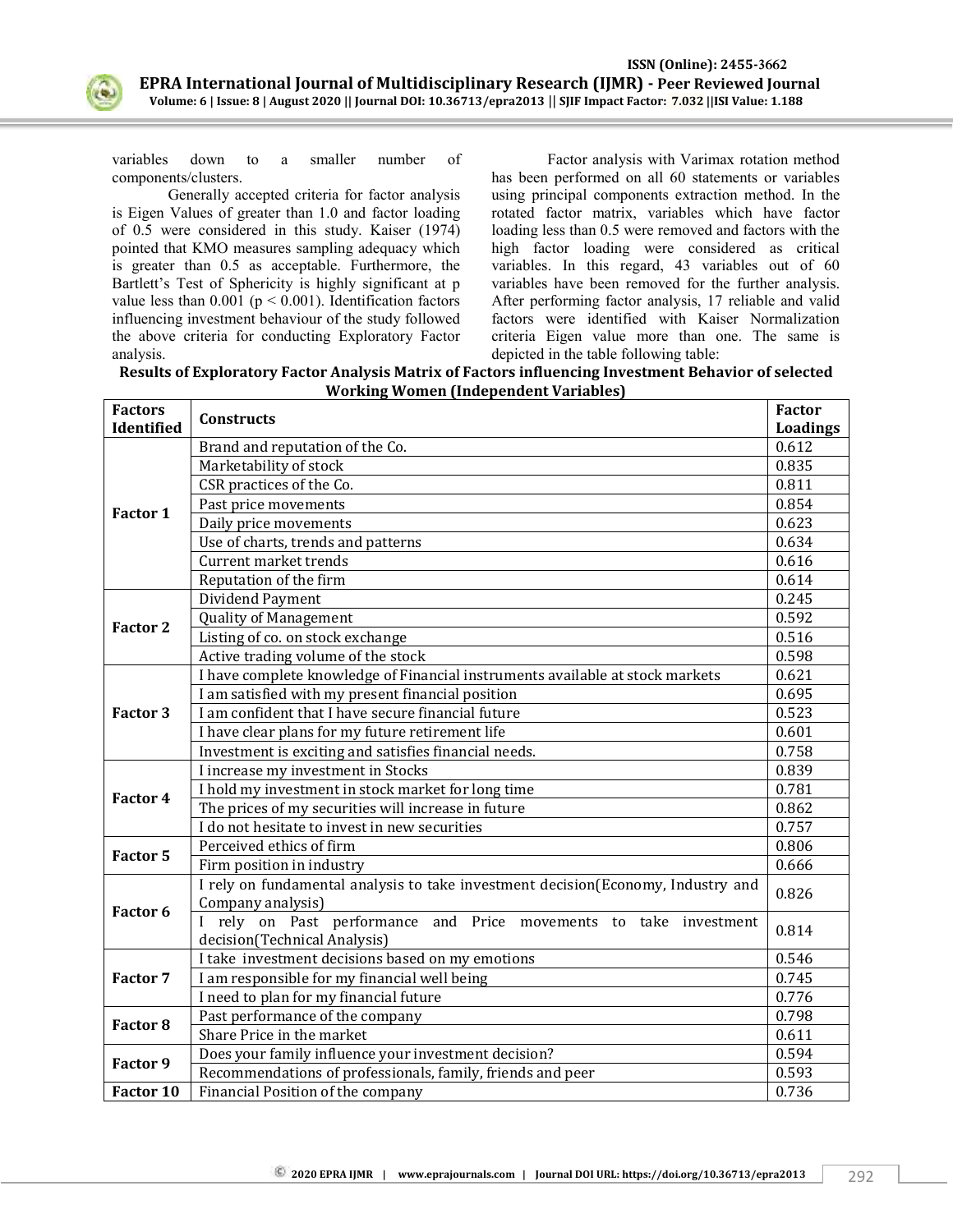

variables down to a smaller number of components/clusters.

Generally accepted criteria for factor analysis is Eigen Values of greater than 1.0 and factor loading of 0.5 were considered in this study. Kaiser (1974) pointed that KMO measures sampling adequacy which is greater than 0.5 as acceptable. Furthermore, the Bartlett's Test of Sphericity is highly significant at p value less than  $0.001$  ( $p < 0.001$ ). Identification factors influencing investment behaviour of the study followed the above criteria for conducting Exploratory Factor analysis.

Factor analysis with Varimax rotation method has been performed on all 60 statements or variables using principal components extraction method. In the rotated factor matrix, variables which have factor loading less than 0.5 were removed and factors with the high factor loading were considered as critical variables. In this regard, 43 variables out of 60 variables have been removed for the further analysis. After performing factor analysis, 17 reliable and valid factors were identified with Kaiser Normalization criteria Eigen value more than one. The same is depicted in the table following table:

**Results of Exploratory Factor Analysis Matrix of Factors influencing Investment Behavior of selected Working Women (Independent Variables)**

| <b>Factors</b>                                                                                      | Constructs                                                                                                    | <b>Factor</b> |  |
|-----------------------------------------------------------------------------------------------------|---------------------------------------------------------------------------------------------------------------|---------------|--|
| Identified                                                                                          |                                                                                                               | Loadings      |  |
|                                                                                                     | Brand and reputation of the Co.                                                                               | 0.612         |  |
|                                                                                                     | Marketability of stock                                                                                        | 0.835         |  |
|                                                                                                     | CSR practices of the Co.                                                                                      | 0.811         |  |
|                                                                                                     | Past price movements                                                                                          | 0.854         |  |
|                                                                                                     | Daily price movements                                                                                         | 0.623         |  |
|                                                                                                     | Use of charts, trends and patterns                                                                            | 0.634         |  |
|                                                                                                     | <b>Current market trends</b>                                                                                  | 0.616         |  |
|                                                                                                     | Reputation of the firm                                                                                        | 0.614         |  |
|                                                                                                     | Dividend Payment                                                                                              | 0.245         |  |
|                                                                                                     | <b>Quality of Management</b>                                                                                  | 0.592         |  |
|                                                                                                     | Listing of co. on stock exchange                                                                              | 0.516         |  |
|                                                                                                     | Active trading volume of the stock                                                                            | 0.598         |  |
|                                                                                                     | I have complete knowledge of Financial instruments available at stock markets                                 | 0.621         |  |
|                                                                                                     | I am satisfied with my present financial position                                                             | 0.695         |  |
| Factor 3                                                                                            | I am confident that I have secure financial future                                                            | 0.523         |  |
|                                                                                                     | I have clear plans for my future retirement life                                                              | 0.601         |  |
|                                                                                                     | Investment is exciting and satisfies financial needs.                                                         | 0.758         |  |
|                                                                                                     | I increase my investment in Stocks                                                                            | 0.839         |  |
|                                                                                                     | I hold my investment in stock market for long time                                                            | 0.781         |  |
| Factor 1<br><b>Factor 2</b><br>Factor 4<br>Factor 5<br>Factor 6<br>Factor 7<br>Factor 8<br>Factor 9 | The prices of my securities will increase in future                                                           | 0.862         |  |
|                                                                                                     | I do not hesitate to invest in new securities                                                                 | 0.757         |  |
|                                                                                                     | Perceived ethics of firm                                                                                      | 0.806         |  |
|                                                                                                     | Firm position in industry<br>I rely on fundamental analysis to take investment decision(Economy, Industry and | 0.666         |  |
|                                                                                                     |                                                                                                               |               |  |
|                                                                                                     | Company analysis)                                                                                             | 0.826         |  |
|                                                                                                     | I rely on Past performance and Price movements to take investment                                             | 0.814         |  |
|                                                                                                     | decision(Technical Analysis)                                                                                  |               |  |
|                                                                                                     | I take investment decisions based on my emotions                                                              | 0.546         |  |
|                                                                                                     | I am responsible for my financial well being                                                                  | 0.745         |  |
|                                                                                                     | I need to plan for my financial future                                                                        | 0.776         |  |
|                                                                                                     | Past performance of the company                                                                               | 0.798         |  |
|                                                                                                     | Share Price in the market                                                                                     | 0.611         |  |
|                                                                                                     | Does your family influence your investment decision?                                                          | 0.594         |  |
|                                                                                                     | Recommendations of professionals, family, friends and peer                                                    | 0.593         |  |
| Factor 10                                                                                           | Financial Position of the company                                                                             | 0.736         |  |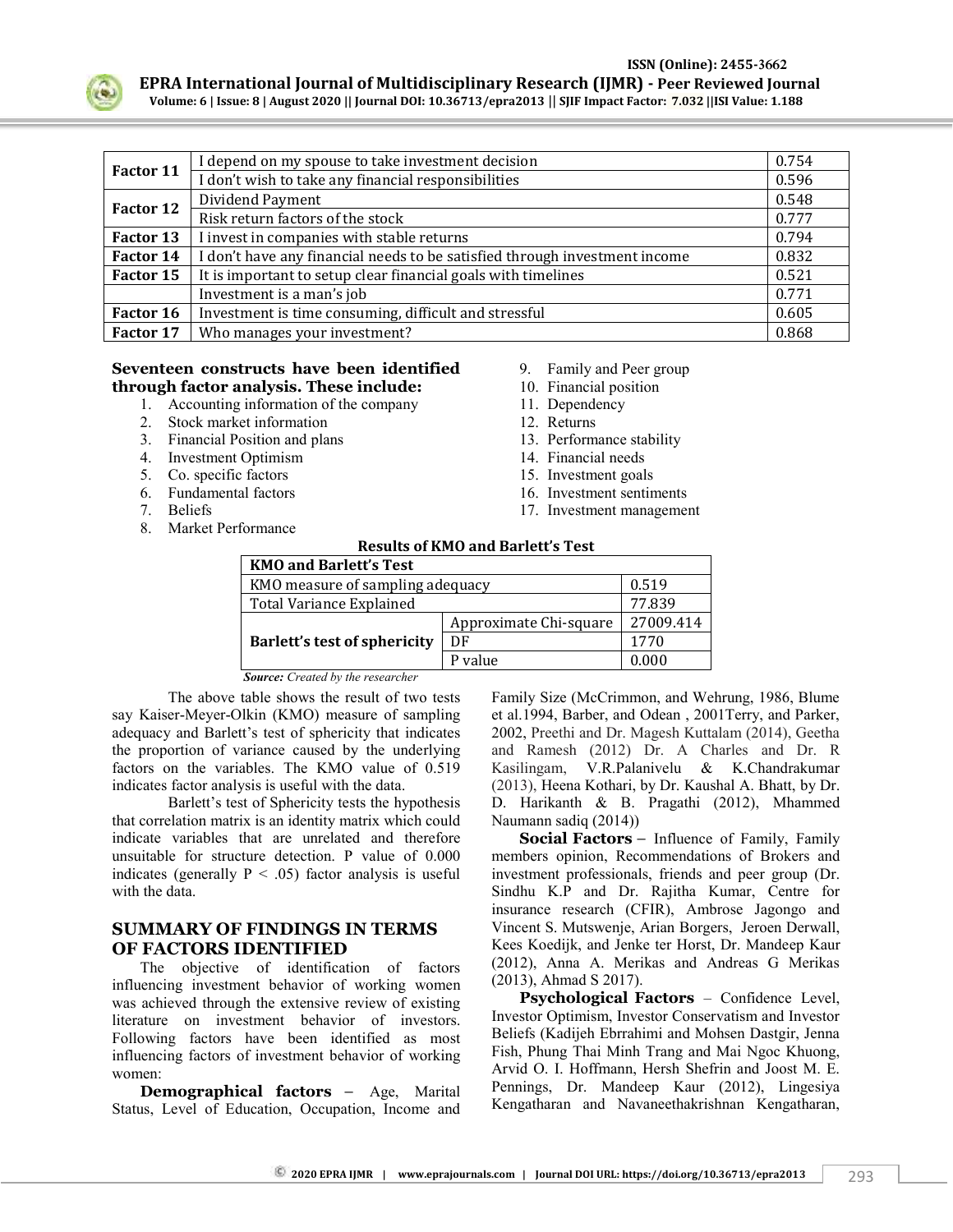

 **ISSN (Online): 2455-3662 EPRA International Journal of Multidisciplinary Research (IJMR) - Peer Reviewed Journal**

**Volume: 6 | Issue: 8 | August 2020 || Journal DOI: 10.36713/epra2013** || **SJIF Impact Factor: 7.032 ||ISI Value: 1.188**

| Factor 11 | I depend on my spouse to take investment decision                          | 0.754 |
|-----------|----------------------------------------------------------------------------|-------|
|           | I don't wish to take any financial responsibilities                        | 0.596 |
| Factor 12 | Dividend Payment                                                           | 0.548 |
|           | Risk return factors of the stock                                           | 0.777 |
| Factor 13 | I invest in companies with stable returns                                  | 0.794 |
| Factor 14 | I don't have any financial needs to be satisfied through investment income |       |
| Factor 15 | It is important to setup clear financial goals with timelines              | 0.521 |
|           | Investment is a man's job                                                  | 0.771 |
| Factor 16 | Investment is time consuming, difficult and stressful                      | 0.605 |
| Factor 17 | Who manages your investment?                                               | 0.868 |

## **Seventeen constructs have been identified through factor analysis. These include:**

- 1. Accounting information of the company
- 2. Stock market information
- 3. Financial Position and plans
- 4. Investment Optimism
- 5. Co. specific factors
- 6. Fundamental factors
- 7. Beliefs
- 8. Market Performance
- 9. Family and Peer group
- 10. Financial position
- 11. Dependency
- 12. Returns
- 13. Performance stability
- 14. Financial needs
- 15. Investment goals
- 16. Investment sentiments
- 17. Investment management

## **Results of KMO and Barlett's Test**

| <b>KMO and Barlett's Test</b>       |                        |           |  |
|-------------------------------------|------------------------|-----------|--|
| KMO measure of sampling adequacy    |                        | 0.519     |  |
| <b>Total Variance Explained</b>     |                        | 77.839    |  |
|                                     | Approximate Chi-square | 27009.414 |  |
| <b>Barlett's test of sphericity</b> | DF                     | 1770      |  |
|                                     | P value                | 0.000     |  |

*Source: Created by the researcher*

The above table shows the result of two tests say Kaiser-Meyer-Olkin (KMO) measure of sampling adequacy and Barlett's test of sphericity that indicates the proportion of variance caused by the underlying factors on the variables. The KMO value of 0.519 indicates factor analysis is useful with the data.

Barlett's test of Sphericity tests the hypothesis that correlation matrix is an identity matrix which could indicate variables that are unrelated and therefore unsuitable for structure detection. P value of 0.000 indicates (generally  $P < .05$ ) factor analysis is useful with the data.

#### **SUMMARY OF FINDINGS IN TERMS OF FACTORS IDENTIFIED**

The objective of identification of factors influencing investment behavior of working women was achieved through the extensive review of existing literature on investment behavior of investors. Following factors have been identified as most influencing factors of investment behavior of working women:

**Demographical factors** – Age, Marital Status, Level of Education, Occupation, Income and Family Size (McCrimmon, and Wehrung, 1986, Blume et al.1994, Barber, and Odean , 2001Terry, and Parker, 2002, Preethi and Dr. Magesh Kuttalam (2014), Geetha and Ramesh (2012) Dr. A Charles and Dr. R Kasilingam, V.R.Palanivelu & K.Chandrakumar (2013), Heena Kothari, by Dr. Kaushal A. Bhatt, by Dr. D. Harikanth & B. Pragathi (2012), Mhammed Naumann sadiq (2014))

**Social Factors** – Influence of Family, Family members opinion, Recommendations of Brokers and investment professionals, friends and peer group (Dr. Sindhu K.P and Dr. Rajitha Kumar, Centre for insurance research (CFIR), Ambrose Jagongo and Vincent S. Mutswenje, Arian Borgers, Jeroen Derwall, Kees Koedijk, and Jenke ter Horst, Dr. Mandeep Kaur (2012), Anna A. Merikas and Andreas G Merikas (2013), Ahmad S 2017).

**Psychological Factors** – Confidence Level, Investor Optimism, Investor Conservatism and Investor Beliefs (Kadijeh Ebrrahimi and Mohsen Dastgir, Jenna Fish, Phung Thai Minh Trang and Mai Ngoc Khuong, Arvid O. I. Hoffmann, Hersh Shefrin and Joost M. E. Pennings, Dr. Mandeep Kaur (2012), Lingesiya Kengatharan and Navaneethakrishnan Kengatharan,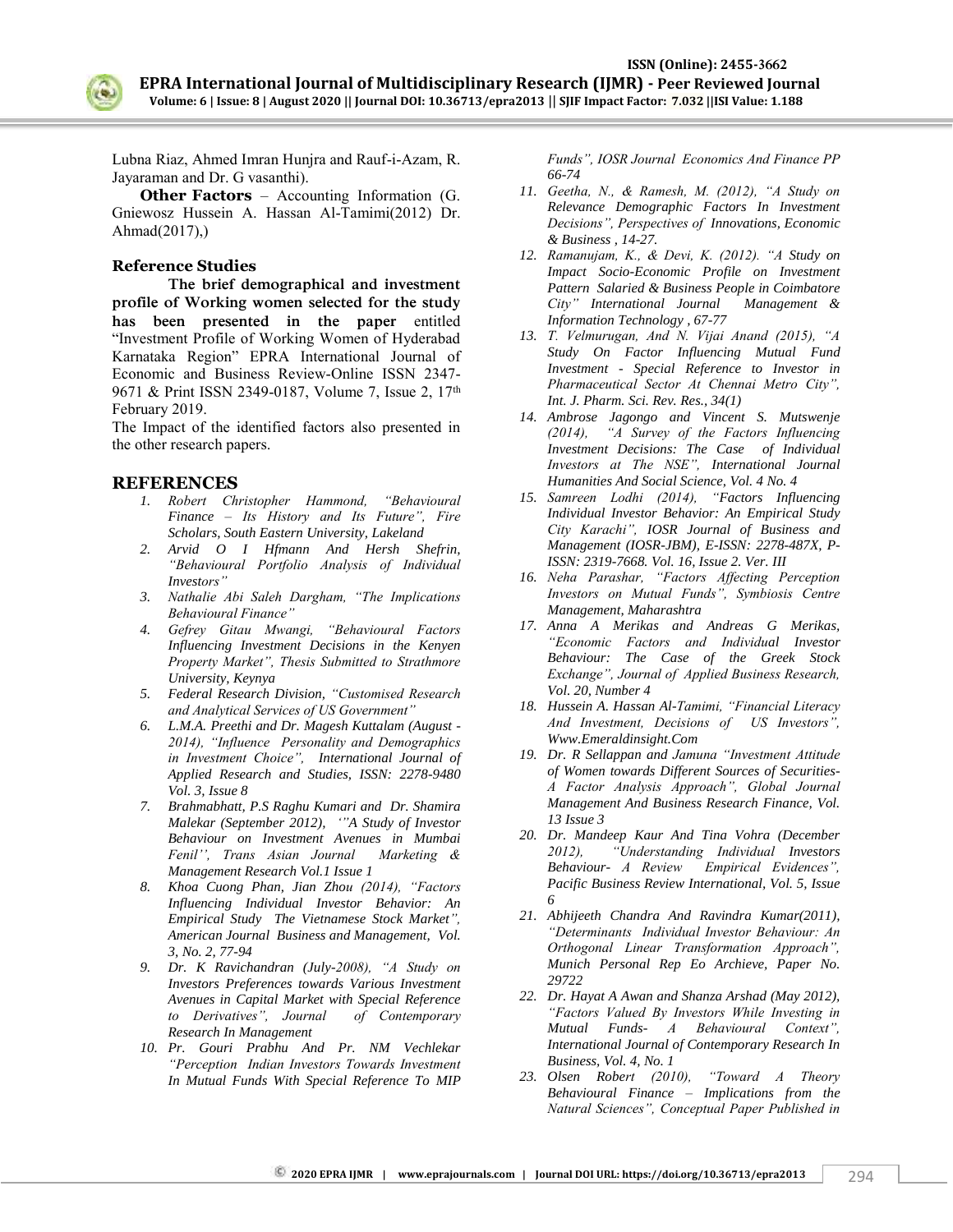

Lubna Riaz, Ahmed Imran Hunjra and Rauf-i-Azam, R. Jayaraman and Dr. G vasanthi).

**Other Factors** – Accounting Information (G. Gniewosz Hussein A. Hassan Al-Tamimi(2012) Dr. Ahmad(2017),)

#### **Reference Studies**

**The brief demographical and investment profile of Working women selected for the study has been presented in the paper** entitled "Investment Profile of Working Women of Hyderabad Karnataka Region" EPRA International Journal of Economic and Business Review-Online ISSN 2347- 9671 & Print ISSN 2349-0187, Volume 7, Issue 2, 17th February 2019.

The Impact of the identified factors also presented in the other research papers.

#### **REFERENCES**

- *1. Robert Christopher Hammond, "Behavioural Finance – Its History and Its Future", Fire Scholars, South Eastern University, Lakeland*
- *2. Arvid O I Hfmann And Hersh Shefrin, "Behavioural Portfolio Analysis of Individual Investors"*
- *3. Nathalie Abi Saleh Dargham, "The Implications Behavioural Finance"*
- *4. Gefrey Gitau Mwangi, "Behavioural Factors Influencing Investment Decisions in the Kenyen Property Market", Thesis Submitted to Strathmore University, Keynya*
- *5. Federal Research Division, "Customised Research and Analytical Services of US Government"*
- *6. L.M.A. Preethi and Dr. Magesh Kuttalam (August - 2014), "Influence Personality and Demographics in Investment Choice", International Journal of Applied Research and Studies, ISSN: 2278-9480 Vol. 3, Issue 8*
- *7. Brahmabhatt, P.S Raghu Kumari and Dr. Shamira Malekar (September 2012), ""A Study of Investor Behaviour on Investment Avenues in Mumbai Fenil"", Trans Asian Journal Marketing & Management Research Vol.1 Issue 1*
- *8. Khoa Cuong Phan, Jian Zhou (2014), "Factors Influencing Individual Investor Behavior: An Empirical Study The Vietnamese Stock Market", American Journal Business and Management, Vol. 3, No. 2, 77-94*
- *9. Dr. K Ravichandran (July-2008), "A Study on Investors Preferences towards Various Investment Avenues in Capital Market with Special Reference to Derivatives", Journal of Contemporary Research In Management*
- *10. Pr. Gouri Prabhu And Pr. NM Vechlekar "Perception Indian Investors Towards Investment In Mutual Funds With Special Reference To MIP*

*Funds", IOSR Journal Economics And Finance PP 66-74*

- *11. Geetha, N., & Ramesh, M. (2012), "A Study on Relevance Demographic Factors In Investment Decisions", Perspectives of Innovations, Economic & Business , 14-27.*
- *12. Ramanujam, K., & Devi, K. (2012). "A Study on Impact Socio-Economic Profile on Investment Pattern Salaried & Business People in Coimbatore City" International Journal Management & Information Technology , 67-77*
- *13. T. Velmurugan, And N. Vijai Anand (2015), "A Study On Factor Influencing Mutual Fund Investment - Special Reference to Investor in Pharmaceutical Sector At Chennai Metro City", Int. J. Pharm. Sci. Rev. Res., 34(1)*
- *14. Ambrose Jagongo and Vincent S. Mutswenje (2014), "A Survey of the Factors Influencing Investment Decisions: The Case of Individual Investors at The NSE", International Journal Humanities And Social Science, Vol. 4 No. 4*
- *15. Samreen Lodhi (2014), "Factors Influencing Individual Investor Behavior: An Empirical Study City Karachi", IOSR Journal of Business and Management (IOSR-JBM), E-ISSN: 2278-487X, P-ISSN: 2319-7668. Vol. 16, Issue 2. Ver. III*
- *16. Neha Parashar, "Factors Affecting Perception Investors on Mutual Funds", Symbiosis Centre Management, Maharashtra*
- *17. Anna A Merikas and Andreas G Merikas, "Economic Factors and Individual Investor Behaviour: The Case of the Greek Stock Exchange", Journal of Applied Business Research, Vol. 20, Number 4*
- *18. Hussein A. Hassan Al-Tamimi, "Financial Literacy And Investment, Decisions of US Investors", Www.Emeraldinsight.Com*
- *19. Dr. R Sellappan and Jamuna "Investment Attitude of Women towards Different Sources of Securities-A Factor Analysis Approach", Global Journal Management And Business Research Finance, Vol. 13 Issue 3*
- *20. Dr. Mandeep Kaur And Tina Vohra (December 2012), "Understanding Individual Investors Behaviour- A Review Empirical Evidences", Pacific Business Review International, Vol. 5, Issue 6*
- *21. Abhijeeth Chandra And Ravindra Kumar(2011), "Determinants Individual Investor Behaviour: An Orthogonal Linear Transformation Approach", Munich Personal Rep Eo Archieve, Paper No. 29722*
- *22. Dr. Hayat A Awan and Shanza Arshad (May 2012), "Factors Valued By Investors While Investing in Mutual Funds- A Behavioural Context", International Journal of Contemporary Research In Business, Vol. 4, No. 1*
- *23. Olsen Robert (2010), "Toward A Theory Behavioural Finance – Implications from the Natural Sciences", Conceptual Paper Published in*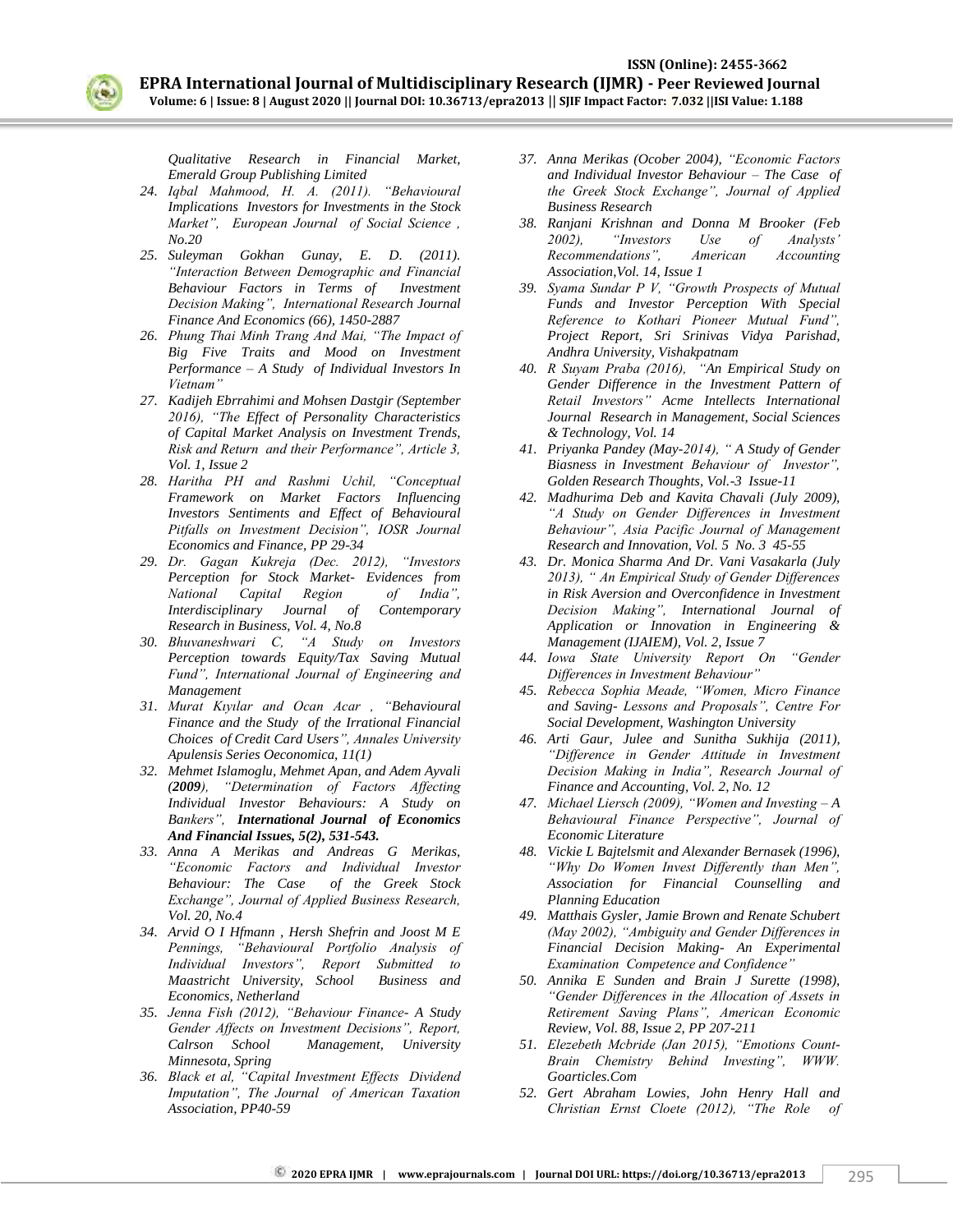

*Qualitative Research in Financial Market, Emerald Group Publishing Limited* 

- *24. Iqbal Mahmood, H. A. (2011). "Behavioural Implications Investors for Investments in the Stock Market", European Journal of Social Science , No.20*
- *25. Suleyman Gokhan Gunay, E. D. (2011). "Interaction Between Demographic and Financial Behaviour Factors in Terms of Investment Decision Making", International Research Journal Finance And Economics (66), 1450-2887*
- *26. Phung Thai Minh Trang And Mai, "The Impact of Big Five Traits and Mood on Investment Performance – A Study of Individual Investors In Vietnam"*
- *27. Kadijeh Ebrrahimi and Mohsen Dastgir (September 2016), "The Effect of Personality Characteristics of Capital Market Analysis on Investment Trends, Risk and Return and their Performance", Article 3, Vol. 1, Issue 2*
- *28. Haritha PH and Rashmi Uchil, "Conceptual Framework on Market Factors Influencing Investors Sentiments and Effect of Behavioural Pitfalls on Investment Decision", IOSR Journal Economics and Finance, PP 29-34*
- *29. Dr. Gagan Kukreja (Dec. 2012), "Investors Perception for Stock Market- Evidences from National Capital Region of India", Interdisciplinary Journal of Contemporary Research in Business, Vol. 4, No.8*
- *30. Bhuvaneshwari C, "A Study on Investors Perception towards Equity/Tax Saving Mutual Fund", International Journal of Engineering and Management*
- *31. Murat Kıyılar and Ocan Acar , "Behavioural Finance and the Study of the Irrational Financial Choices of Credit Card Users", Annales University Apulensis Series Oeconomica, 11(1)*
- *32. Mehmet Islamoglu, Mehmet Apan, and Adem Ayvali (2009), "Determination of Factors Affecting Individual Investor Behaviours: A Study on Bankers", International Journal of Economics And Financial Issues, 5(2), 531-543.*
- *33. Anna A Merikas and Andreas G Merikas, "Economic Factors and Individual Investor Behaviour: The Case of the Greek Stock Exchange", Journal of Applied Business Research, Vol. 20, No.4*
- *34. Arvid O I Hfmann , Hersh Shefrin and Joost M E Pennings, "Behavioural Portfolio Analysis of Individual Investors", Report Submitted to Maastricht University, School Business and Economics, Netherland*
- *35. Jenna Fish (2012), "Behaviour Finance- A Study Gender Affects on Investment Decisions", Report, Calrson School Management, University Minnesota, Spring*
- *36. Black et al, "Capital Investment Effects Dividend Imputation", The Journal of American Taxation Association, PP40-59*
- *37. Anna Merikas (Ocober 2004), "Economic Factors and Individual Investor Behaviour – The Case of the Greek Stock Exchange", Journal of Applied Business Research*
- *38. Ranjani Krishnan and Donna M Brooker (Feb 2002), "Investors Use of Analysts" Recommendations", American Accounting Association,Vol. 14, Issue 1*
- *39. Syama Sundar P V, "Growth Prospects of Mutual Funds and Investor Perception With Special Reference to Kothari Pioneer Mutual Fund", Project Report, Sri Srinivas Vidya Parishad, Andhra University, Vishakpatnam*
- *40. R Suyam Praba (2016), "An Empirical Study on Gender Difference in the Investment Pattern of Retail Investors" Acme Intellects International Journal Research in Management, Social Sciences & Technology, Vol. 14*
- *41. Priyanka Pandey (May-2014), " A Study of Gender Biasness in Investment Behaviour of Investor", Golden Research Thoughts, Vol.-3 Issue-11*
- *42. Madhurima Deb and Kavita Chavali (July 2009), "A Study on Gender Differences in Investment Behaviour", Asia Pacific Journal of Management Research and Innovation, Vol. 5 No. 3 45-55*
- *43. Dr. Monica Sharma And Dr. Vani Vasakarla (July 2013), " An Empirical Study of Gender Differences in Risk Aversion and Overconfidence in Investment Decision Making", International Journal of Application or Innovation in Engineering & Management (IJAIEM), Vol. 2, Issue 7*
- *44. Iowa State University Report On "Gender Differences in Investment Behaviour"*
- *45. Rebecca Sophia Meade, "Women, Micro Finance and Saving- Lessons and Proposals", Centre For Social Development, Washington University*
- *46. Arti Gaur, Julee and Sunitha Sukhija (2011), "Difference in Gender Attitude in Investment Decision Making in India", Research Journal of Finance and Accounting, Vol. 2, No. 12*
- *47. Michael Liersch (2009), "Women and Investing – A Behavioural Finance Perspective", Journal of Economic Literature*
- *48. Vickie L Bajtelsmit and Alexander Bernasek (1996), "Why Do Women Invest Differently than Men", Association for Financial Counselling and Planning Education*
- *49. Matthais Gysler, Jamie Brown and Renate Schubert (May 2002), "Ambiguity and Gender Differences in Financial Decision Making- An Experimental Examination Competence and Confidence"*
- *50. Annika E Sunden and Brain J Surette (1998), "Gender Differences in the Allocation of Assets in Retirement Saving Plans", American Economic Review, Vol. 88, Issue 2, PP 207-211*
- *51. Elezebeth Mcbride (Jan 2015), "Emotions Count-Brain Chemistry Behind Investing", WWW. Goarticles.Com*
- *52. Gert Abraham Lowies, John Henry Hall and Christian Ernst Cloete (2012), "The Role of*